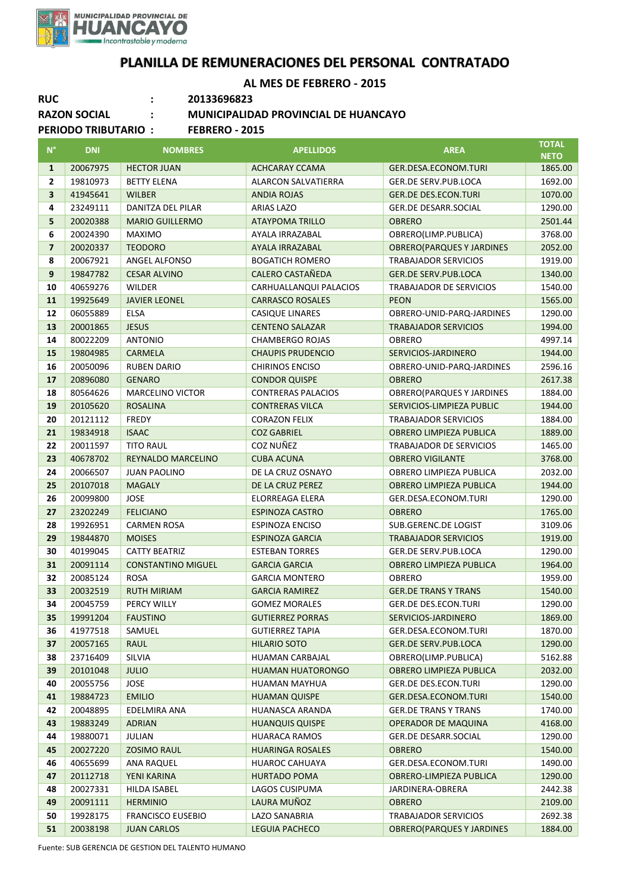

## **PLANILLA DE REMUNERACIONES DEL PERSONAL CONTRATADO**

**AL MES DE FEBRERO - 2015**

| <b>RUC</b>                                          |                     | 20133696823                                 |                           |                                   |              |  |  |  |  |
|-----------------------------------------------------|---------------------|---------------------------------------------|---------------------------|-----------------------------------|--------------|--|--|--|--|
|                                                     | <b>RAZON SOCIAL</b> | <b>MUNICIPALIDAD PROVINCIAL DE HUANCAYO</b> |                           |                                   |              |  |  |  |  |
| <b>PERIODO TRIBUTARIO:</b><br><b>FEBRERO - 2015</b> |                     |                                             |                           |                                   |              |  |  |  |  |
|                                                     |                     |                                             |                           |                                   | <b>TOTAL</b> |  |  |  |  |
| $N^{\circ}$                                         | <b>DNI</b>          | <b>NOMBRES</b>                              | <b>APELLIDOS</b>          | <b>AREA</b>                       | <b>NETO</b>  |  |  |  |  |
| 1                                                   | 20067975            | <b>HECTOR JUAN</b>                          | <b>ACHCARAY CCAMA</b>     | GER.DESA.ECONOM.TURI              | 1865.00      |  |  |  |  |
| 2                                                   | 19810973            | <b>BETTY ELENA</b>                          | ALARCON SALVATIERRA       | GER.DE SERV.PUB.LOCA              | 1692.00      |  |  |  |  |
| $\overline{\mathbf{3}}$                             | 41945641            | <b>WILBER</b>                               | <b>ANDIA ROJAS</b>        | <b>GER.DE DES.ECON.TURI</b>       | 1070.00      |  |  |  |  |
| 4                                                   | 23249111            | DANITZA DEL PILAR                           | <b>ARIAS LAZO</b>         | <b>GER.DE DESARR.SOCIAL</b>       | 1290.00      |  |  |  |  |
| 5                                                   | 20020388            | <b>MARIO GUILLERMO</b>                      | <b>ATAYPOMA TRILLO</b>    | <b>OBRERO</b>                     | 2501.44      |  |  |  |  |
| 6                                                   | 20024390            | <b>MAXIMO</b>                               | AYALA IRRAZABAL           | OBRERO(LIMP.PUBLICA)              | 3768.00      |  |  |  |  |
| $\overline{\mathbf{z}}$                             | 20020337            | <b>TEODORO</b>                              | AYALA IRRAZABAL           | <b>OBRERO(PARQUES Y JARDINES</b>  | 2052.00      |  |  |  |  |
| 8                                                   | 20067921            | ANGEL ALFONSO                               | <b>BOGATICH ROMERO</b>    | <b>TRABAJADOR SERVICIOS</b>       | 1919.00      |  |  |  |  |
| 9                                                   | 19847782            | <b>CESAR ALVINO</b>                         | CALERO CASTAÑEDA          | <b>GER.DE SERV.PUB.LOCA</b>       | 1340.00      |  |  |  |  |
| 10                                                  | 40659276            | <b>WILDER</b>                               | CARHUALLANQUI PALACIOS    | <b>TRABAJADOR DE SERVICIOS</b>    | 1540.00      |  |  |  |  |
| 11                                                  | 19925649            | <b>JAVIER LEONEL</b>                        | <b>CARRASCO ROSALES</b>   | <b>PEON</b>                       | 1565.00      |  |  |  |  |
| 12                                                  | 06055889            | <b>ELSA</b>                                 | CASIQUE LINARES           | OBRERO-UNID-PARQ-JARDINES         | 1290.00      |  |  |  |  |
| 13                                                  | 20001865            | <b>JESUS</b>                                | <b>CENTENO SALAZAR</b>    | <b>TRABAJADOR SERVICIOS</b>       | 1994.00      |  |  |  |  |
| 14                                                  | 80022209            | <b>ANTONIO</b>                              | <b>CHAMBERGO ROJAS</b>    | <b>OBRERO</b>                     | 4997.14      |  |  |  |  |
| 15                                                  | 19804985            | <b>CARMELA</b>                              | <b>CHAUPIS PRUDENCIO</b>  | SERVICIOS-JARDINERO               | 1944.00      |  |  |  |  |
| 16                                                  | 20050096            | <b>RUBEN DARIO</b>                          | <b>CHIRINOS ENCISO</b>    | OBRERO-UNID-PARQ-JARDINES         | 2596.16      |  |  |  |  |
| 17                                                  | 20896080            | <b>GENARO</b>                               | <b>CONDOR QUISPE</b>      | <b>OBRERO</b>                     | 2617.38      |  |  |  |  |
| 18                                                  | 80564626            | <b>MARCELINO VICTOR</b>                     | <b>CONTRERAS PALACIOS</b> | <b>OBRERO(PARQUES Y JARDINES</b>  | 1884.00      |  |  |  |  |
| 19                                                  | 20105620            | <b>ROSALINA</b>                             | <b>CONTRERAS VILCA</b>    | SERVICIOS-LIMPIEZA PUBLIC         | 1944.00      |  |  |  |  |
| 20                                                  | 20121112            | <b>FREDY</b>                                | <b>CORAZON FELIX</b>      | <b>TRABAJADOR SERVICIOS</b>       | 1884.00      |  |  |  |  |
| 21                                                  | 19834918            | <b>ISAAC</b>                                | <b>COZ GABRIEL</b>        | <b>OBRERO LIMPIEZA PUBLICA</b>    | 1889.00      |  |  |  |  |
| 22                                                  | 20011597            | <b>TITO RAUL</b>                            | COZ NUÑEZ                 | TRABAJADOR DE SERVICIOS           | 1465.00      |  |  |  |  |
| 23                                                  | 40678702            | REYNALDO MARCELINO                          | <b>CUBA ACUNA</b>         | <b>OBRERO VIGILANTE</b>           | 3768.00      |  |  |  |  |
| 24                                                  | 20066507            | <b>JUAN PAOLINO</b>                         | DE LA CRUZ OSNAYO         | OBRERO LIMPIEZA PUBLICA           | 2032.00      |  |  |  |  |
| 25                                                  | 20107018            | <b>MAGALY</b>                               | DE LA CRUZ PEREZ          | <b>OBRERO LIMPIEZA PUBLICA</b>    | 1944.00      |  |  |  |  |
| 26                                                  | 20099800            | <b>JOSE</b>                                 | ELORREAGA ELERA           | GER.DESA.ECONOM.TURI              | 1290.00      |  |  |  |  |
| 27                                                  | 23202249            | <b>FELICIANO</b>                            | <b>ESPINOZA CASTRO</b>    | <b>OBRERO</b>                     | 1765.00      |  |  |  |  |
| 28                                                  | 19926951            | <b>CARMEN ROSA</b>                          | <b>ESPINOZA ENCISO</b>    | <b>SUB.GERENC.DE LOGIST</b>       | 3109.06      |  |  |  |  |
| 29                                                  | 19844870            | <b>MOISES</b>                               | <b>ESPINOZA GARCIA</b>    | <b>TRABAJADOR SERVICIOS</b>       | 1919.00      |  |  |  |  |
| 30                                                  | 40199045            | <b>CATTY BEATRIZ</b>                        | <b>ESTEBAN TORRES</b>     | <b>GER.DE SERV.PUB.LOCA</b>       | 1290.00      |  |  |  |  |
| 31                                                  | 20091114            | <b>CONSTANTINO MIGUEL</b>                   | <b>GARCIA GARCIA</b>      | OBRERO LIMPIEZA PUBLICA           | 1964.00      |  |  |  |  |
| 32                                                  | 20085124            | <b>ROSA</b>                                 | <b>GARCIA MONTERO</b>     | OBRERO                            | 1959.00      |  |  |  |  |
| 33                                                  | 20032519            | <b>RUTH MIRIAM</b>                          | <b>GARCIA RAMIREZ</b>     | <b>GER.DE TRANS Y TRANS</b>       | 1540.00      |  |  |  |  |
| 34                                                  | 20045759            | PERCY WILLY                                 | <b>GOMEZ MORALES</b>      | <b>GER.DE DES.ECON.TURI</b>       | 1290.00      |  |  |  |  |
| 35                                                  | 19991204            | <b>FAUSTINO</b>                             | <b>GUTIERREZ PORRAS</b>   | SERVICIOS-JARDINERO               | 1869.00      |  |  |  |  |
| 36                                                  | 41977518            | SAMUEL                                      | <b>GUTIERREZ TAPIA</b>    | GER.DESA.ECONOM.TURI              | 1870.00      |  |  |  |  |
| 37                                                  | 20057165            | <b>RAUL</b>                                 | <b>HILARIO SOTO</b>       | <b>GER.DE SERV.PUB.LOCA</b>       | 1290.00      |  |  |  |  |
| 38                                                  | 23716409            | SILVIA                                      | HUAMAN CARBAJAL           | OBRERO(LIMP.PUBLICA)              | 5162.88      |  |  |  |  |
| 39                                                  | 20101048            | <b>JULIO</b>                                | <b>HUAMAN HUATORONGO</b>  | <b>OBRERO LIMPIEZA PUBLICA</b>    | 2032.00      |  |  |  |  |
| 40                                                  | 20055756            | <b>JOSE</b>                                 | HUAMAN MAYHUA             | <b>GER.DE DES.ECON.TURI</b>       | 1290.00      |  |  |  |  |
| 41                                                  | 19884723            | <b>EMILIO</b>                               | <b>HUAMAN QUISPE</b>      | GER.DESA.ECONOM.TURI              | 1540.00      |  |  |  |  |
| 42                                                  | 20048895            | EDELMIRA ANA                                | HUANASCA ARANDA           | <b>GER.DE TRANS Y TRANS</b>       | 1740.00      |  |  |  |  |
| 43                                                  | 19883249            | <b>ADRIAN</b>                               | <b>HUANQUIS QUISPE</b>    | <b>OPERADOR DE MAQUINA</b>        | 4168.00      |  |  |  |  |
| 44                                                  | 19880071            | JULIAN                                      | <b>HUARACA RAMOS</b>      | <b>GER.DE DESARR.SOCIAL</b>       | 1290.00      |  |  |  |  |
| 45                                                  | 20027220            | <b>ZOSIMO RAUL</b>                          | <b>HUARINGA ROSALES</b>   | <b>OBRERO</b>                     | 1540.00      |  |  |  |  |
| 46                                                  | 40655699            | ANA RAQUEL                                  | HUAROC CAHUAYA            | GER.DESA.ECONOM.TURI              | 1490.00      |  |  |  |  |
| 47                                                  | 20112718            | YENI KARINA                                 | <b>HURTADO POMA</b>       | OBRERO-LIMPIEZA PUBLICA           | 1290.00      |  |  |  |  |
| 48                                                  | 20027331            | HILDA ISABEL                                | LAGOS CUSIPUMA            | JARDINERA-OBRERA                  | 2442.38      |  |  |  |  |
| 49                                                  | 20091111            | <b>HERMINIO</b>                             | LAURA MUÑOZ               | OBRERO                            | 2109.00      |  |  |  |  |
| 50                                                  | 19928175            | <b>FRANCISCO EUSEBIO</b>                    | LAZO SANABRIA             | <b>TRABAJADOR SERVICIOS</b>       | 2692.38      |  |  |  |  |
| 51                                                  | 20038198            | <b>JUAN CARLOS</b>                          | <b>LEGUIA PACHECO</b>     | <b>OBRERO (PARQUES Y JARDINES</b> | 1884.00      |  |  |  |  |

Fuente: SUB GERENCIA DE GESTION DEL TALENTO HUMANO